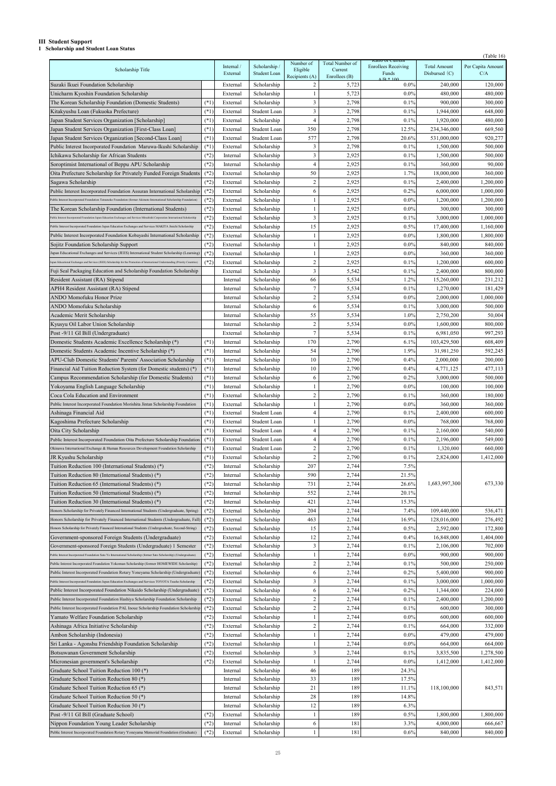## **III Student Support**

**1 Scholarship and Student Loan Status**

|                                                                                                                                   |        |            |              |                  |                 |                                                |                     | (Table 16)        |
|-----------------------------------------------------------------------------------------------------------------------------------|--------|------------|--------------|------------------|-----------------|------------------------------------------------|---------------------|-------------------|
|                                                                                                                                   |        | Internal / | Scholarship  | Number of        | Total Number of | Katio of Cuffent<br><b>Enrollees Receiving</b> | <b>Total Amount</b> | Per Capita Amount |
| Scholarship Title                                                                                                                 |        | External   | Student Loan | Eligible         | Current         | Funds                                          | Disbursed $(C)$     | C/A               |
|                                                                                                                                   |        |            |              | Recipients (A)   | Enrollees (B)   | $\triangle$ /D $*$ 100                         |                     |                   |
| Suzaki Ikuei Foundation Scholarship                                                                                               |        | External   | Scholarship  | 2                | 5,723           | $0.0\%$                                        | 240,000             | 120,000           |
| Unicharm Kyoshin Foundation Scholarship                                                                                           |        | External   | Scholarship  | 1                | 5,723           | $0.0\%$                                        | 480,000             | 480,000           |
| The Korean Scholarship Foundation (Domestic Students)                                                                             | $(*1)$ | External   | Scholarship  | 3                | 2,798           | 0.1%                                           | 900,000             | 300,000           |
| Kitakyushu Loan (Fukuoka Prefecture)                                                                                              | $(*1)$ | External   | Student Loan | 3                | 2,798           | 0.1%                                           | 1,944,000           | 648,000           |
| Japan Student Services Organization [Scholarship]                                                                                 | $(*1)$ | External   | Scholarship  | $\overline{4}$   | 2,798           | 0.1%                                           | 1,920,000           | 480,000           |
|                                                                                                                                   | $(*1)$ | External   | Student Loan | 350              | 2,798           | 12.5%                                          | 234,346,000         | 669,560           |
| Japan Student Services Organization [First-Class Loan]                                                                            |        |            |              |                  |                 |                                                |                     |                   |
| Japan Student Services Organization [Second-Class Loan]                                                                           | $(*1)$ | External   | Student Loan | 577              | 2,798           | 20.6%                                          | 531,000,000         | 920,277           |
| Public Interest Incorporated Foundation Maruwa-Ikushi Scholarship                                                                 | $(*1)$ | External   | Scholarship  | 3                | 2,798           | 0.1%                                           | 1,500,000           | 500,000           |
| Ichikawa Scholarship for African Students                                                                                         | $(*2)$ | Internal   | Scholarship  | 3                | 2,925           | 0.1%                                           | 1,500,000           | 500,000           |
| Soroptimist International of Beppu APU Scholarship                                                                                | $(*2)$ | Internal   | Scholarship  | $\overline{4}$   | 2,925           | 0.1%                                           | 360,000             | 90,000            |
| Oita Prefecture Scholarship for Privately Funded Foreign Students                                                                 | $(*2)$ | External   | Scholarship  | 50               | 2,925           | 1.7%                                           | 18,000,000          | 360,000           |
|                                                                                                                                   |        |            |              |                  |                 |                                                |                     |                   |
| Sagawa Scholarship                                                                                                                | $(*2)$ | External   | Scholarship  | $\overline{c}$   | 2,925           | 0.1%                                           | 2,400,000           | 1,200,000         |
| Public Interest Incorporated Foundation Assuran International Scholarship                                                         | $(*2)$ | External   | Scholarship  | 6                | 2,925           | 0.2%                                           | 6,000,000           | 1,000,000         |
| Public Interest Incorporated Foundation Tatsunoko Foundation (former Akimoto International Scholarship Foundation)                | $(*2)$ | External   | Scholarship  |                  | 2,925           | $0.0\%$                                        | 1,200,000           | 1,200,000         |
| The Korean Scholarship Foundation (International Students)                                                                        | $(*2)$ | External   | Scholarship  |                  | 2,925           | $0.0\%$                                        | 300,000             | 300,000           |
| ublic Interest Incorporated Foundation Japan Education Exchanges and Services Mitsubishi Corporation International Scholarship    | $(*2)$ | External   | Scholarship  | 3                | 2,925           | 0.1%                                           | 3,000,000           | 1,000,000         |
|                                                                                                                                   |        |            |              |                  |                 |                                                |                     |                   |
| Public Interest Incorporated Foundation Japan Education Exchanges and Services MAKITA Jinichi Scholarship                         | $(*2)$ | External   | Scholarship  | 15               | 2,925           | 0.5%                                           | 17,400,000          | 1,160,000         |
| Public Interest Incorporated Foundation Kobayashi International Scholarship                                                       | $(*2)$ | External   | Scholarship  | 1                | 2,925           | $0.0\%$                                        | 1,800,000           | 1,800,000         |
| Sojitz Foundation Scholarship Support                                                                                             | $(*2)$ | External   | Scholarship  | 1                | 2,925           | $0.0\%$                                        | 840,000             | 840,000           |
| Japan Educational Exchanges and Services (JEES) International Student Scholarship (Learning)                                      | $(*2)$ | External   | Scholarship  |                  | 2,925           | $0.0\%$                                        | 360,000             | 360,000           |
| Japan Educational Exchanges and Services (JEES) Scholarship for the Promotion of International Understanding (Priority Countries) | $(*2)$ | External   | Scholarship  | 2                | 2,925           | 0.1%                                           | 1,200,000           | 600,000           |
|                                                                                                                                   |        |            |              |                  |                 |                                                |                     |                   |
| Fuji Seal Packaging Education and Scholarship Foundation Scholarship                                                              |        | External   | Scholarship  | 3                | 5,542           | 0.1%                                           | 2,400,000           | 800,000           |
| Resident Assistant (RA) Stipend                                                                                                   |        | Internal   | Scholarship  | 66               | 5,534           | 1.2%                                           | 15,260,000          | 231,212           |
| APH4 Resident Assistant (RA) Stipend                                                                                              |        | Internal   | Scholarship  | 7                | 5,534           | 0.1%                                           | 1,270,000           | 181,429           |
| ANDO Momofuku Honor Prize                                                                                                         |        | Internal   | Scholarship  | $\overline{c}$   | 5,534           | $0.0\%$                                        | 2,000,000           | 1,000,000         |
|                                                                                                                                   |        |            |              |                  |                 |                                                |                     |                   |
| ANDO Momofuku Scholarship                                                                                                         |        | Internal   | Scholarship  | 6                | 5,534           | 0.1%                                           | 3,000,000           | 500,000           |
| Academic Merit Scholarship                                                                                                        |        | Internal   | Scholarship  | 55               | 5,534           | 1.0%                                           | 2,750,200           | 50,004            |
| Kyusyu Oil Labor Union Scholarship                                                                                                |        | Internal   | Scholarship  | $\overline{c}$   | 5,534           | $0.0\%$                                        | 1,600,000           | 800,000           |
| Post -9/11 GI Bill (Undergraduate)                                                                                                |        | External   | Scholarship  | $\overline{7}$   | 5,534           | 0.1%                                           | 6,981,050           | 997,293           |
| Domestic Students Academic Excellence Scholarship (*)                                                                             | $(*1)$ | Internal   | Scholarship  | 170              | 2,790           | 6.1%                                           | 103,429,500         | 608,409           |
|                                                                                                                                   |        |            |              |                  |                 |                                                |                     |                   |
| Domestic Students Academic Incentive Scholarship (*)                                                                              | $(*1)$ | Internal   | Scholarship  | 54               | 2,790           | 1.9%                                           | 31,981,250          | 592,245           |
| APU-Club Domestic Students' Parents' Association Scholarship                                                                      | $(*1)$ | Internal   | Scholarship  | 10               | 2,790           | 0.4%                                           | 2,000,000           | 200,000           |
| Financial Aid Tuition Reduction System (for Domestic students) (*)                                                                | $(*1)$ | Internal   | Scholarship  | 10               | 2,790           | 0.4%                                           | 4,771,125           | 477,113           |
| Campus Recommendation Scholarship (for Domestic Students)                                                                         | $(*1)$ | Internal   | Scholarship  | 6                | 2,790           | 0.2%                                           | 3,000,000           | 500,000           |
| Yokoyama English Language Scholarship                                                                                             | $(*1)$ | Internal   | Scholarship  | 1                | 2,790           | 0.0%                                           | 100,000             | 100,000           |
|                                                                                                                                   |        |            |              |                  |                 |                                                |                     |                   |
| Coca Cola Education and Environment                                                                                               | $(*1)$ | External   | Scholarship  | $\overline{2}$   | 2,790           | 0.1%                                           | 360,000             | 180,000           |
| Public Interest Incorporated Foundation Morishita Jintan Scholarship Foundation                                                   | $(*1)$ | External   | Scholarship  |                  | 2,790           | $0.0\%$                                        | 360,000             | 360,000           |
| Ashinaga Financial Aid                                                                                                            | $(*1)$ | External   | Student Loan | 4                | 2,790           | 0.1%                                           | 2,400,000           | 600,000           |
| Kagoshima Prefecture Scholarship                                                                                                  | $(*1)$ | External   | Student Loan |                  | 2,790           | $0.0\%$                                        | 768,000             | 768,000           |
| Oita City Scholarship                                                                                                             | $(*1)$ | External   | Student Loan | 4                | 2,790           | 0.1%                                           | 2,160,000           | 540,000           |
|                                                                                                                                   |        |            |              |                  |                 |                                                |                     |                   |
| Public Interest Incorporated Foundation Oita Prefecture Scholarship Foundation                                                    | $(*1)$ | External   | Student Loan | 4                | 2,790           | 0.1%                                           | 2,196,000           | 549,000           |
| Okinawa International Exchange & Human Resources Development Foundation Scholarship                                               | $(*1)$ | External   | Student Loan | 2                | 2,790           | 0.1%                                           | 1,320,000           | 660,000           |
| JR Kyushu Scholarship                                                                                                             | $(*1)$ | External   | Scholarship  | $\overline{c}$   | 2,790           | 0.1%                                           | 2,824,000           | 1,412,000         |
| Tuition Reduction 100 (International Students) (*)                                                                                | $(*2)$ | Internal   | Scholarship  | 207              | 2,744           | 7.5%                                           |                     |                   |
| Tuition Reduction 80 (International Students) (*)                                                                                 | $(*2)$ | Internal   | Scholarship  | 590              | 2,744           | 21.5%                                          |                     |                   |
|                                                                                                                                   |        |            |              |                  |                 |                                                |                     |                   |
| Tuition Reduction 65 (International Students) (*)                                                                                 | $(*2)$ | Internal   | Scholarship  | 731              | 2,744           | 26.6%                                          | 1,683,997,300       | 673,330           |
| Tuition Reduction 50 (International Students) (*)                                                                                 | $(*2)$ | Internal   | Scholarship  | 552              | 2,744           | 20.1%                                          |                     |                   |
| Tuition Reduction 30 (International Students) (*)                                                                                 | $(*2)$ | Internal   | Scholarship  | 421              | 2,744           | 15.3%                                          |                     |                   |
| Honors Scholarship for Privately Financed International Students (Undergraduate, Spring)                                          | $(*2)$ | External   | Scholarship  | 204              | 2,744           | 7.4%                                           | 109,440,000         | 536,471           |
| Honors Scholarship for Privately Financed International Students (Undergraduate, Fall)                                            | $(*2)$ | External   | Scholarship  | 463              | 2,744           | 16.9%                                          | 128,016,000         | 276,492           |
|                                                                                                                                   |        |            |              |                  |                 |                                                |                     |                   |
| Honors Scholarship for Privately Financed International Students (Undergraduate, Second-String)                                   | $(*2)$ | External   | Scholarship  | 15               | 2,744           | 0.5%                                           | 2,592,000           | 172,800           |
| Government-sponsored Foreign Students (Undergraduate)                                                                             | $(*2)$ | External   | Scholarship  | 12               | 2,744           | 0.4%                                           | 16,848,000          | 1,404,000         |
| Government-sponsored Foreign Students (Undergraduate) 1 Semester                                                                  | $(*2)$ | External   | Scholarship  | 3                | 2,744           | 0.1%                                           | 2,106,000           | 702,000           |
| Public Interest Incorporated Foundation Sato Yo International Scholarship (former Sato Scholarship) (Undergraduate)               | $(*2)$ | External   | Scholarship  |                  | 2,744           | $0.0\%$                                        | 900,000             | 900,000           |
| Public Interest Incorporated Foundation Yokoman Scholarship (former HOMEWIDE Scholarship)                                         | $(*2)$ | External   | Scholarship  | $\overline{c}$   | 2,744           | 0.1%                                           | 500,000             | 250,000           |
|                                                                                                                                   |        |            |              |                  |                 |                                                |                     |                   |
| Public Interest Incorporated Foundation Rotary Yoneyama Scholarship (Undergraduate)                                               | $(*2)$ | External   | Scholarship  | 6                | 2,744           | 0.2%                                           | 5,400,000           | 900,000           |
| Public Interest Incorporated Foundation Japan Education Exchanges and Services TOYOTA Tsusho Scholarship                          | $(*2)$ | External   | Scholarship  | 3                | 2,744           | 0.1%                                           | 3,000,000           | 1,000,000         |
| Public Interest Incorporated Foundation Nikaido Scholarship (Undergraduate)                                                       | $(*2)$ | External   | Scholarship  | 6                | 2,744           | 0.2%                                           | 1,344,000           | 224,000           |
| Public Interest Incorporated Foundation Hashiya Scholarship Foundation Scholarship                                                | $(*2)$ | External   | Scholarship  | 2                | 2,744           | 0.1%                                           | 2,400,000           | 1,200,000         |
| Public Interest Incorporated Foundation PAL Inoue Scholarship Foundation Scholarship                                              | $(*2)$ | External   | Scholarship  | $\boldsymbol{2}$ | 2,744           | 0.1%                                           | 600,000             | 300,000           |
|                                                                                                                                   |        |            |              |                  |                 |                                                |                     |                   |
| Yamato Welfare Foundation Scholarship                                                                                             | $(*2)$ | External   | Scholarship  |                  | 2,744           | $0.0\%$                                        | 600,000             | 600,000           |
| Ashinaga Africa Initiative Scholarship                                                                                            | $(*2)$ | External   | Scholarship  | $\overline{c}$   | 2,744           | 0.1%                                           | 664,000             | 332,000           |
| Ambon Scholarship (Indonesia)                                                                                                     | $(*2)$ | External   | Scholarship  |                  | 2,744           | $0.0\%$                                        | 479,000             | 479,000           |
| Sri Lanka - Agonshu Friendship Foundation Scholarship                                                                             | $(*2)$ | External   | Scholarship  |                  | 2,744           | 0.0%                                           | 664,000             | 664,000           |
| Botsuwanan Government Scholarship                                                                                                 | $(*2)$ | External   | Scholarship  | $\mathfrak{Z}$   | 2,744           | 0.1%                                           | 3,835,500           | 1,278,500         |
|                                                                                                                                   |        |            |              |                  |                 |                                                |                     |                   |
| Micronesian government's Scholarship                                                                                              | $(*2)$ | External   | Scholarship  |                  | 2,744           | $0.0\%$                                        | 1,412,000           | 1,412,000         |
| Graduate School Tuition Reduction 100 (*)                                                                                         |        | Internal   | Scholarship  | 46               | 189             | 24.3%                                          |                     |                   |
| Graduate School Tuition Reduction 80 (*)                                                                                          |        | Internal   | Scholarship  | 33               | 189             | 17.5%                                          |                     |                   |
| Graduate School Tuition Reduction 65 (*)                                                                                          |        | Internal   | Scholarship  | 21               | 189             | 11.1%                                          | 118,100,000         | 843,571           |
|                                                                                                                                   |        |            |              |                  |                 |                                                |                     |                   |
| Graduate School Tuition Reduction 50 (*)                                                                                          |        | Internal   | Scholarship  | 28               | 189             | 14.8%                                          |                     |                   |
| Graduate School Tuition Reduction 30 (*)                                                                                          |        | Internal   | Scholarship  | 12               | 189             | 6.3%                                           |                     |                   |
| Post -9/11 GI Bill (Graduate School)                                                                                              | $(*2)$ | External   | Scholarship  | 1                | 189             | 0.5%                                           | 1,800,000           | 1,800,000         |
| Nippon Foundation Young Leader Scholarship                                                                                        | $(*2)$ | Internal   | Scholarship  | 6                | 181             | 3.3%                                           | 4,000,000           | 666,667           |
| Public Interest Incorporated Foundation Rotary Yoneyama Memorial Foundation (Graduate)                                            | $(*2)$ | External   | Scholarship  |                  | 181             | 0.6%                                           | 840,000             | 840,000           |
|                                                                                                                                   |        |            |              |                  |                 |                                                |                     |                   |